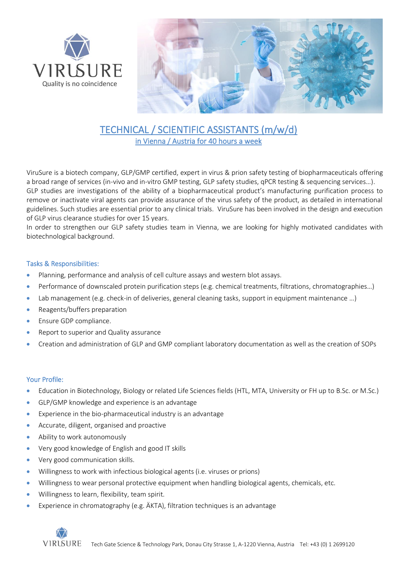



# TECHNICAL / SCIENTIFIC ASSISTANTS (m/w/d) in Vienna / Austria for 40 hours a week

ViruSure is a biotech company, GLP/GMP certified, expert in virus & prion safety testing of biopharmaceuticals offering a broad range of services (in-vivo and in-vitro GMP testing, GLP safety studies, qPCR testing & sequencing services…). GLP studies are investigations of the ability of a biopharmaceutical product's manufacturing purification process to remove or inactivate viral agents can provide assurance of the virus safety of the product, as detailed in international guidelines. Such studies are essential prior to any clinical trials. ViruSure has been involved in the design and execution of GLP virus clearance studies for over 15 years.

In order to strengthen our GLP safety studies team in Vienna, we are looking for highly motivated candidates with biotechnological background.

### Tasks & Responsibilities:

- Planning, performance and analysis of cell culture assays and western blot assays.
- Performance of downscaled protein purification steps (e.g. chemical treatments, filtrations, chromatographies…)
- Lab management (e.g. check-in of deliveries, general cleaning tasks, support in equipment maintenance ...)
- Reagents/buffers preparation
- Ensure GDP compliance.
- Report to superior and Quality assurance
- Creation and administration of GLP and GMP compliant laboratory documentation as well as the creation of SOPs

### Your Profile:

- Education in Biotechnology, Biology or related Life Sciences fields (HTL, MTA, University or FH up to B.Sc. or M.Sc.)
- GLP/GMP knowledge and experience is an advantage
- Experience in the bio-pharmaceutical industry is an advantage
- Accurate, diligent, organised and proactive
- Ability to work autonomously
- Very good knowledge of English and good IT skills
- Very good communication skills.
- Willingness to work with infectious biological agents (i.e. viruses or prions)
- Willingness to wear personal protective equipment when handling biological agents, chemicals, etc.
- Willingness to learn, flexibility, team spirit.
- Experience in chromatography (e.g. ÄKTA), filtration techniques is an advantage